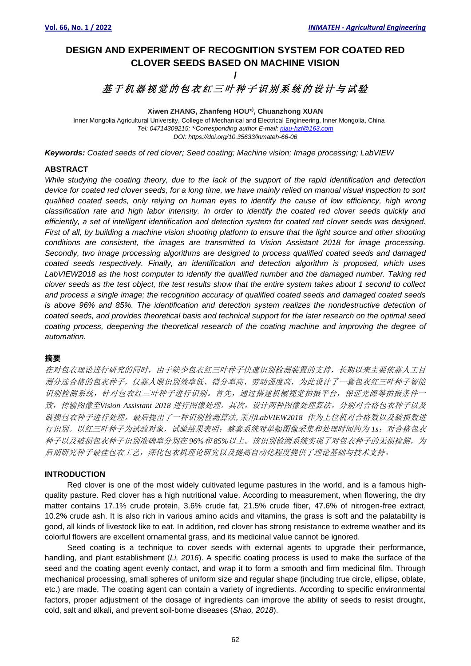# **DESIGN AND EXPERIMENT OF RECOGNITION SYSTEM FOR COATED RED CLOVER SEEDS BASED ON MACHINE VISION**

## **/** 基于机器视觉的包衣红三叶种子识别系统的设计与试验

#### **Xiwen ZHANG, Zhanfeng HOU\* ) , Chuanzhong XUAN** Inner Mongolia Agricultural University, College of Mechanical and Electrical Engineering, Inner Mongolia, China *Tel: 04714309215; \* )Corresponding author E-mail: njau-hzf@163.com DOI: https://doi.org/10.35633/inmateh-66-06*

*Keywords: Coated seeds of red clover; Seed coating; Machine vision; Image processing; LabVIEW*

## **ABSTRACT**

*While studying the coating theory, due to the lack of the support of the rapid identification and detection device for coated red clover seeds, for a long time, we have mainly relied on manual visual inspection to sort qualified coated seeds, only relying on human eyes to identify the cause of low efficiency, high wrong classification rate and high labor intensity. In order to identify the coated red clover seeds quickly and efficiently, a set of intelligent identification and detection system for coated red clover seeds was designed. First of all, by building a machine vision shooting platform to ensure that the light source and other shooting conditions are consistent, the images are transmitted to Vision Assistant 2018 for image processing. Secondly, two image processing algorithms are designed to process qualified coated seeds and damaged coated seeds respectively. Finally, an identification and detection algorithm is proposed, which uses*  LabVIEW2018 as the host computer to identify the qualified number and the damaged number. Taking red *clover seeds as the test object, the test results show that the entire system takes about 1 second to collect and process a single image; the recognition accuracy of qualified coated seeds and damaged coated seeds is above 96% and 85%. The identification and detection system realizes the nondestructive detection of coated seeds, and provides theoretical basis and technical support for the later research on the optimal seed coating process, deepening the theoretical research of the coating machine and improving the degree of automation.*

## 摘要

在对包衣理论进行研究的同时,由于缺少包衣红三叶种子快速识别检测装置的支持,长期以来主要依靠人工目 测分选合格的包衣种子,仅靠人眼识别效率低、错分率高、劳动强度高,为此设计了一套包衣红三叶种子智能 识别检测系统,针对包衣红三叶种子进行识别。首先,通过搭建机械视觉拍摄平台,保证光源等拍摄条件一 致,传输图像至*Vision Assistant 2018* 进行图像处理。其次,设计两种图像处理算法,分别对合格包衣种子以及 破损包衣种子进行处理。最后提出了一种识别检测算法,采用*LabVIEW2018* 作为上位机对合格数以及破损数进 行识别。以红三叶种子为试验对象,试验结果表明:整套系统对单幅图像采集和处理时间约为 *1s*;对合格包衣 种子以及破损包衣种子识别准确率分别在 *96%*和 *85%*以上。该识别检测系统实现了对包衣种子的无损检测,为 后期研究种子最佳包衣工艺,深化包衣机理论研究以及提高自动化程度提供了理论基础与技术支持。

## **INTRODUCTION**

Red clover is one of the most widely cultivated legume pastures in the world, and is a famous highquality pasture. Red clover has a high nutritional value. According to measurement, when flowering, the dry matter contains 17.1% crude protein, 3.6% crude fat, 21.5% crude fiber, 47.6% of nitrogen-free extract, 10.2% crude ash. It is also rich in various amino acids and vitamins, the grass is soft and the palatability is good, all kinds of livestock like to eat. In addition, red clover has strong resistance to extreme weather and its colorful flowers are excellent ornamental grass, and its medicinal value cannot be ignored.

Seed coating is a technique to cover seeds with external agents to upgrade their performance, handling, and plant establishment (*Li, 2016*). A specific coating process is used to make the surface of the seed and the coating agent evenly contact, and wrap it to form a smooth and firm medicinal film. Through mechanical processing, small spheres of uniform size and regular shape (including true circle, ellipse, oblate, etc.) are made. The coating agent can contain a variety of ingredients. According to specific environmental factors, proper adjustment of the dosage of ingredients can improve the ability of seeds to resist drought, cold, salt and alkali, and prevent soil-borne diseases (*Shao, 2018*).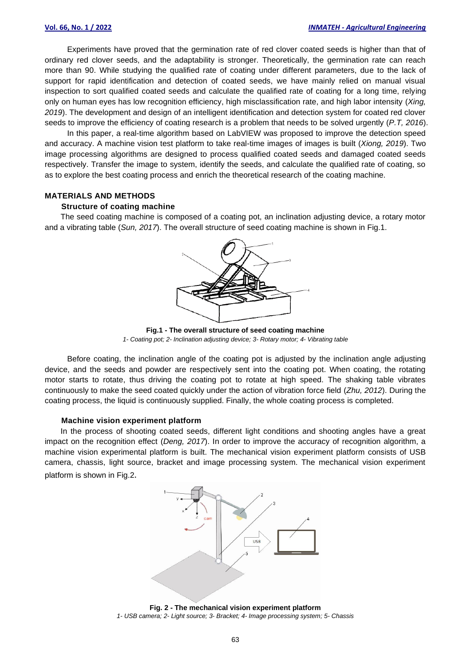Experiments have proved that the germination rate of red clover coated seeds is higher than that of ordinary red clover seeds, and the adaptability is stronger. Theoretically, the germination rate can reach more than 90. While studying the qualified rate of coating under different parameters, due to the lack of support for rapid identification and detection of coated seeds, we have mainly relied on manual visual inspection to sort qualified coated seeds and calculate the qualified rate of coating for a long time, relying only on human eyes has low recognition efficiency, high misclassification rate, and high labor intensity (*Xing, 2019*). The development and design of an intelligent identification and detection system for coated red clover seeds to improve the efficiency of coating research is a problem that needs to be solved urgently (*P.T, 2016*).

In this paper, a real-time algorithm based on LabVIEW was proposed to improve the detection speed and accuracy. A machine vision test platform to take real-time images of images is built (*Xiong, 2019*). Two image processing algorithms are designed to process qualified coated seeds and damaged coated seeds respectively. Transfer the image to system, identify the seeds, and calculate the qualified rate of coating, so as to explore the best coating process and enrich the theoretical research of the coating machine.

#### **MATERIALS AND METHODS**

#### **Structure of coating machine**

The seed coating machine is composed of a coating pot, an inclination adjusting device, a rotary motor and a vibrating table (*Sun, 2017*). The overall structure of seed coating machine is shown in Fig.1.



**Fig.1 - The overall structure of seed coating machine** *1- Coating pot; 2- Inclination adjusting device; 3- Rotary motor; 4- Vibrating table*

Before coating, the inclination angle of the coating pot is adjusted by the inclination angle adjusting device, and the seeds and powder are respectively sent into the coating pot. When coating, the rotating motor starts to rotate, thus driving the coating pot to rotate at high speed. The shaking table vibrates continuously to make the seed coated quickly under the action of vibration force field (*Zhu, 2012*). During the coating process, the liquid is continuously supplied. Finally, the whole coating process is completed.

#### **Machine vision experiment platform**

In the process of shooting coated seeds, different light conditions and shooting angles have a great impact on the recognition effect (*Deng, 2017*). In order to improve the accuracy of recognition algorithm, a machine vision experimental platform is built. The mechanical vision experiment platform consists of USB camera, chassis, light source, bracket and image processing system. The mechanical vision experiment platform is shown in Fig.2.



**Fig. 2 - The mechanical vision experiment platform** *1- USB camera; 2- Light source; 3- Bracket; 4- Image processing system; 5- Chassis*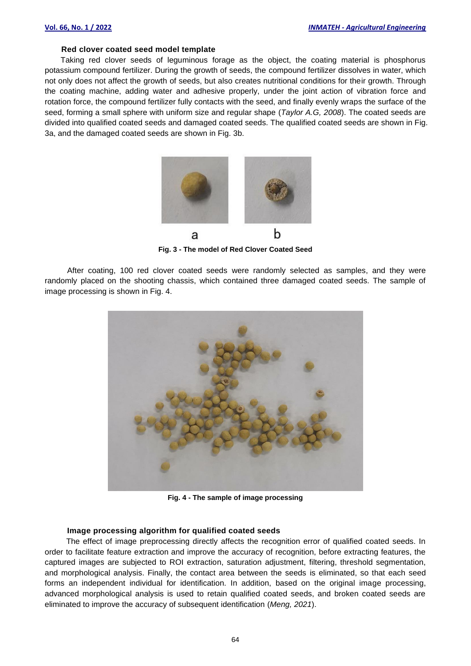#### **Red clover coated seed model template**

Taking red clover seeds of leguminous forage as the object, the coating material is phosphorus potassium compound fertilizer. During the growth of seeds, the compound fertilizer dissolves in water, which not only does not affect the growth of seeds, but also creates nutritional conditions for their growth. Through the coating machine, adding water and adhesive properly, under the joint action of vibration force and rotation force, the compound fertilizer fully contacts with the seed, and finally evenly wraps the surface of the seed, forming a small sphere with uniform size and regular shape (*Taylor A.G, 2008*). The coated seeds are divided into qualified coated seeds and damaged coated seeds. The qualified coated seeds are shown in Fig. 3a, and the damaged coated seeds are shown in Fig. 3b.



**Fig. 3 - The model of Red Clover Coated Seed** 

After coating, 100 red clover coated seeds were randomly selected as samples, and they were randomly placed on the shooting chassis, which contained three damaged coated seeds. The sample of image processing is shown in Fig. 4.



**Fig. 4 - The sample of image processing**

#### **Image processing algorithm for qualified coated seeds**

The effect of image preprocessing directly affects the recognition error of qualified coated seeds. In order to facilitate feature extraction and improve the accuracy of recognition, before extracting features, the captured images are subjected to ROI extraction, saturation adjustment, filtering, threshold segmentation, and morphological analysis. Finally, the contact area between the seeds is eliminated, so that each seed forms an independent individual for identification. In addition, based on the original image processing, advanced morphological analysis is used to retain qualified coated seeds, and broken coated seeds are eliminated to improve the accuracy of subsequent identification (*Meng, 2021*).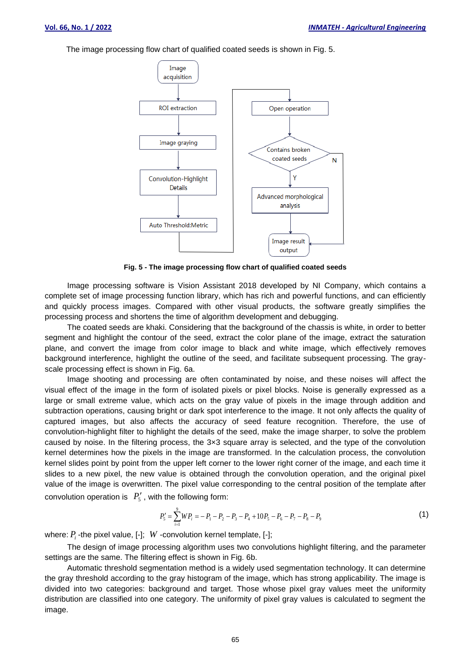The image processing flow chart of qualified coated seeds is shown in Fig. 5.



**Fig. 5 - The image processing flow chart of qualified coated seeds**

Image processing software is Vision Assistant 2018 developed by NI Company, which contains a complete set of image processing function library, which has rich and powerful functions, and can efficiently and quickly process images. Compared with other visual products, the software greatly simplifies the processing process and shortens the time of algorithm development and debugging.

The coated seeds are khaki. Considering that the background of the chassis is white, in order to better segment and highlight the contour of the seed, extract the color plane of the image, extract the saturation plane, and convert the image from color image to black and white image, which effectively removes background interference, highlight the outline of the seed, and facilitate subsequent processing. The grayscale processing effect is shown in Fig. 6a.

Image shooting and processing are often contaminated by noise, and these noises will affect the visual effect of the image in the form of isolated pixels or pixel blocks. Noise is generally expressed as a large or small extreme value, which acts on the gray value of pixels in the image through addition and subtraction operations, causing bright or dark spot interference to the image. It not only affects the quality of captured images, but also affects the accuracy of seed feature recognition. Therefore, the use of convolution-highlight filter to highlight the details of the seed, make the image sharper, to solve the problem caused by noise. In the filtering process, the 3×3 square array is selected, and the type of the convolution kernel determines how the pixels in the image are transformed. In the calculation process, the convolution kernel slides point by point from the upper left corner to the lower right corner of the image, and each time it slides to a new pixel, the new value is obtained through the convolution operation, and the original pixel value of the image is overwritten. The pixel value corresponding to the central position of the template after convolution operation is  $P'_5$ , with the following form:

$$
P_5' = \sum_{i=1}^{9} W P_i = -P_1 - P_2 - P_3 - P_4 + 10P_5 - P_6 - P_7 - P_8 - P_9 \tag{1}
$$

where:  $P_i$  -the pixel value, [-];  $W$  -convolution kernel template, [-];

The design of image processing algorithm uses two convolutions highlight filtering, and the parameter settings are the same. The filtering effect is shown in Fig. 6b.

Automatic threshold segmentation method is a widely used segmentation technology. It can determine the gray threshold according to the gray histogram of the image, which has strong applicability. The image is divided into two categories: background and target. Those whose pixel gray values meet the uniformity distribution are classified into one category. The uniformity of pixel gray values is calculated to segment the image.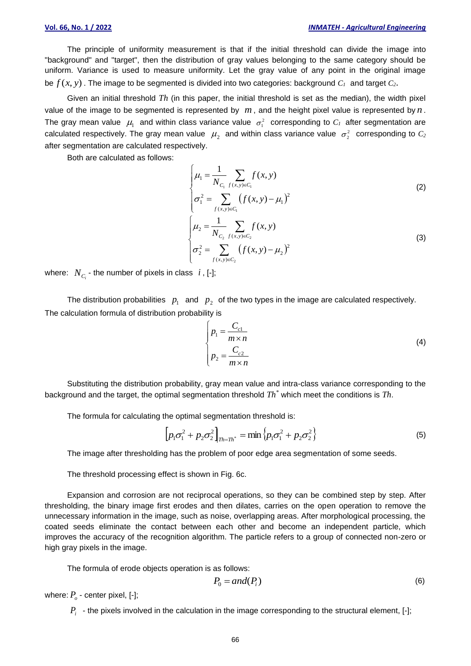The principle of uniformity measurement is that if the initial threshold can divide the image into "background" and "target", then the distribution of gray values belonging to the same category should be uniform. Variance is used to measure uniformity. Let the gray value of any point in the original image be *f* (*x*, *y*) . The image to be segmented is divided into two categories: background *C<sup>1</sup>* and target *C2*.

Given an initial threshold *Th* (in this paper, the initial threshold is set as the median), the width pixel value of the image to be segmented is represented by  $m$ , and the height pixel value is represented by  $n$ . The gray mean value  $\mu_1$  and within class variance value  $\sigma_1^2$  corresponding to  $C_I$  after segmentation are calculated respectively. The gray mean value  $\mu_2$  and within class variance value  $\sigma_2^2$  corresponding to  $C_2$ after segmentation are calculated respectively.

Both are calculated as follows:

$$
\begin{cases}\n\mu_1 = \frac{1}{N_{C_1}} \sum_{f(x,y)\in C_1} f(x,y) \\
\sigma_1^2 = \sum_{f(x,y)\in C_1} (f(x,y) - \mu_1)^2 \\
\mu_2 = \frac{1}{N_{C_2}} \sum_{f(x,y)\in C_2} f(x,y) \\
\sigma_2^2 = \sum_{f(x,y)\in C_2} (f(x,y) - \mu_2)^2\n\end{cases}
$$
\n(3)

where:  $\ N_{C_i}$  - the number of pixels in class  $\ i$  , [-];

The distribution probabilities  $p_1$  and  $p_2$  of the two types in the image are calculated respectively. The calculation formula of distribution probability is

$$
\begin{cases}\n p_1 = \frac{C_{c1}}{m \times n} \\
 p_2 = \frac{C_{c2}}{m \times n}\n\end{cases}
$$
\n(4)

Substituting the distribution probability, gray mean value and intra-class variance corresponding to the background and the target, the optimal segmentation threshold *Th\** which meet the conditions is *Th*.

The formula for calculating the optimal segmentation threshold is:

$$
\left[p_1\sigma_1^2 + p_2\sigma_2^2\right]_{Th=Th^*} = \min\left\{p_1\sigma_1^2 + p_2\sigma_2^2\right\}
$$
\n(5)

The image after thresholding has the problem of poor edge area segmentation of some seeds.

The threshold processing effect is shown in Fig. 6c.

Expansion and corrosion are not reciprocal operations, so they can be combined step by step. After thresholding, the binary image first erodes and then dilates, carries on the open operation to remove the unnecessary information in the image, such as noise, overlapping areas. After morphological processing, the coated seeds eliminate the contact between each other and become an independent particle, which improves the accuracy of the recognition algorithm. The particle refers to a group of connected non-zero or high gray pixels in the image.

The formula of erode objects operation is as follows:

$$
P_0 = and(P_i) \tag{6}
$$

where:  $P_{o}$  - center pixel, [-];

 $P_i$  - the pixels involved in the calculation in the image corresponding to the structural element, [-];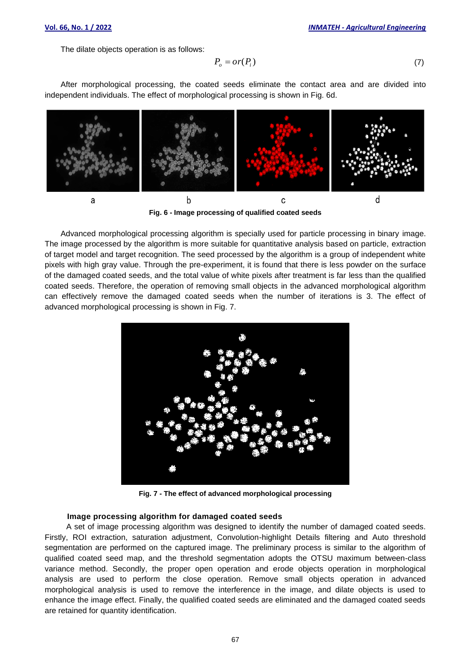The dilate objects operation is as follows:

$$
P_o = or(P_i) \tag{7}
$$

After morphological processing, the coated seeds eliminate the contact area and are divided into independent individuals. The effect of morphological processing is shown in Fig. 6d.



**Fig. 6 - Image processing of qualified coated seeds**

Advanced morphological processing algorithm is specially used for particle processing in binary image. The image processed by the algorithm is more suitable for quantitative analysis based on particle, extraction of target model and target recognition. The seed processed by the algorithm is a group of independent white pixels with high gray value. Through the pre-experiment, it is found that there is less powder on the surface of the damaged coated seeds, and the total value of white pixels after treatment is far less than the qualified coated seeds. Therefore, the operation of removing small objects in the advanced morphological algorithm can effectively remove the damaged coated seeds when the number of iterations is 3. The effect of advanced morphological processing is shown in Fig. 7.



**Fig. 7 - The effect of advanced morphological processing**

#### **Image processing algorithm for damaged coated seeds**

A set of image processing algorithm was designed to identify the number of damaged coated seeds. Firstly, ROI extraction, saturation adjustment, Convolution-highlight Details filtering and Auto threshold segmentation are performed on the captured image. The preliminary process is similar to the algorithm of qualified coated seed map, and the threshold segmentation adopts the OTSU maximum between-class variance method. Secondly, the proper open operation and erode objects operation in morphological analysis are used to perform the close operation. Remove small objects operation in advanced morphological analysis is used to remove the interference in the image, and dilate objects is used to enhance the image effect. Finally, the qualified coated seeds are eliminated and the damaged coated seeds are retained for quantity identification.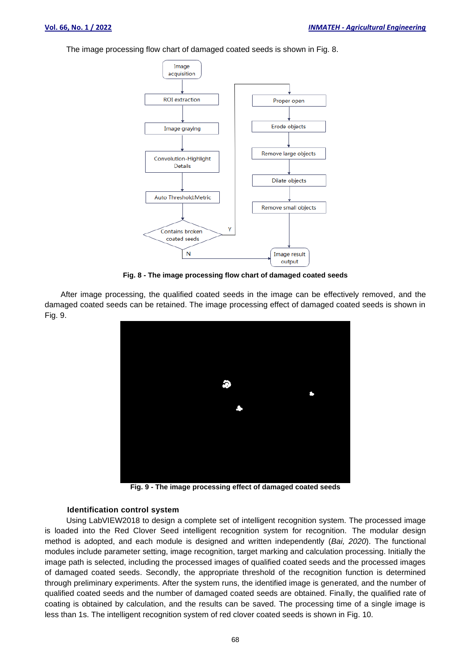The image processing flow chart of damaged coated seeds is shown in Fig. 8.



**Fig. 8 - The image processing flow chart of damaged coated seeds**

After image processing, the qualified coated seeds in the image can be effectively removed, and the damaged coated seeds can be retained. The image processing effect of damaged coated seeds is shown in Fig. 9.



**Fig. 9 - The image processing effect of damaged coated seeds**

#### **Identification control system**

Using LabVIEW2018 to design a complete set of intelligent recognition system. The processed image is loaded into the Red Clover Seed intelligent recognition system for recognition. The modular design method is adopted, and each module is designed and written independently (*Bai, 2020*). The functional modules include parameter setting, image recognition, target marking and calculation processing. Initially the image path is selected, including the processed images of qualified coated seeds and the processed images of damaged coated seeds. Secondly, the appropriate threshold of the recognition function is determined through preliminary experiments. After the system runs, the identified image is generated, and the number of qualified coated seeds and the number of damaged coated seeds are obtained. Finally, the qualified rate of coating is obtained by calculation, and the results can be saved. The processing time of a single image is less than 1s. The intelligent recognition system of red clover coated seeds is shown in Fig. 10.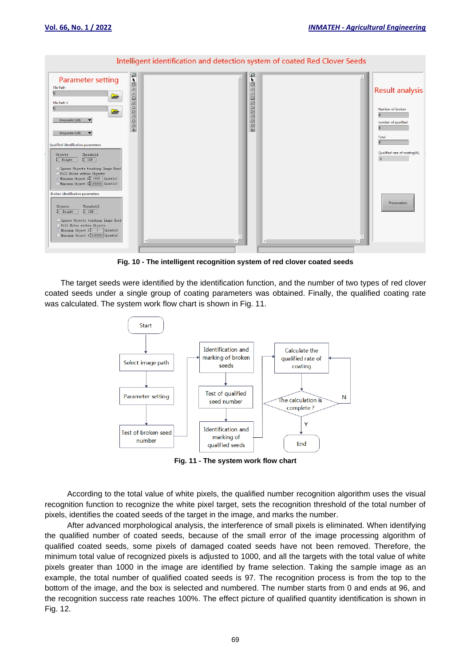

**Fig. 10 - The intelligent recognition system of red clover coated seeds**

The target seeds were identified by the identification function, and the number of two types of red clover coated seeds under a single group of coating parameters was obtained. Finally, the qualified coating rate was calculated. The system work flow chart is shown in Fig. 11.



**Fig. 11 - The system work flow chart**

According to the total value of white pixels, the qualified number recognition algorithm uses the visual recognition function to recognize the white pixel target, sets the recognition threshold of the total number of pixels, identifies the coated seeds of the target in the image, and marks the number.

After advanced morphological analysis, the interference of small pixels is eliminated. When identifying the qualified number of coated seeds, because of the small error of the image processing algorithm of qualified coated seeds, some pixels of damaged coated seeds have not been removed. Therefore, the minimum total value of recognized pixels is adjusted to 1000, and all the targets with the total value of white pixels greater than 1000 in the image are identified by frame selection. Taking the sample image as an example, the total number of qualified coated seeds is 97. The recognition process is from the top to the bottom of the image, and the box is selected and numbered. The number starts from 0 and ends at 96, and the recognition success rate reaches 100%. The effect picture of qualified quantity identification is shown in Fig. 12.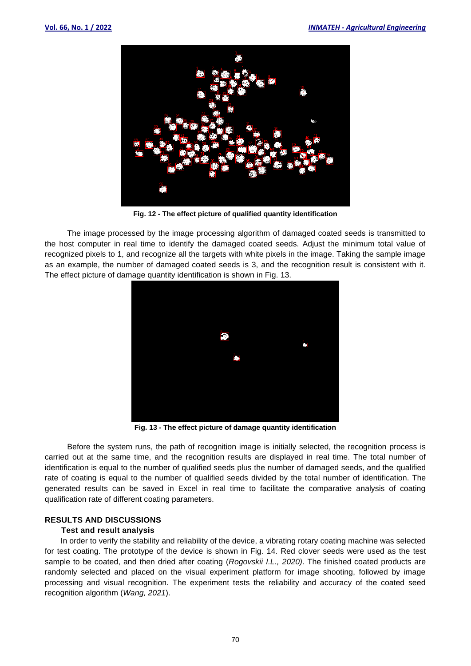

**Fig. 12 - The effect picture of qualified quantity identification**

The image processed by the image processing algorithm of damaged coated seeds is transmitted to the host computer in real time to identify the damaged coated seeds. Adjust the minimum total value of recognized pixels to 1, and recognize all the targets with white pixels in the image. Taking the sample image as an example, the number of damaged coated seeds is 3, and the recognition result is consistent with it. The effect picture of damage quantity identification is shown in Fig. 13.



**Fig. 13 - The effect picture of damage quantity identification**

Before the system runs, the path of recognition image is initially selected, the recognition process is carried out at the same time, and the recognition results are displayed in real time. The total number of identification is equal to the number of qualified seeds plus the number of damaged seeds, and the qualified rate of coating is equal to the number of qualified seeds divided by the total number of identification. The generated results can be saved in Excel in real time to facilitate the comparative analysis of coating qualification rate of different coating parameters.

## **RESULTS AND DISCUSSIONS**

## **Test and result analysis**

In order to verify the stability and reliability of the device, a vibrating rotary coating machine was selected for test coating. The prototype of the device is shown in Fig. 14. Red clover seeds were used as the test sample to be coated, and then dried after coating (*Rogovskii I.L., 2020)*. The finished coated products are randomly selected and placed on the visual experiment platform for image shooting, followed by image processing and visual recognition. The experiment tests the reliability and accuracy of the coated seed recognition algorithm (*Wang, 2021*).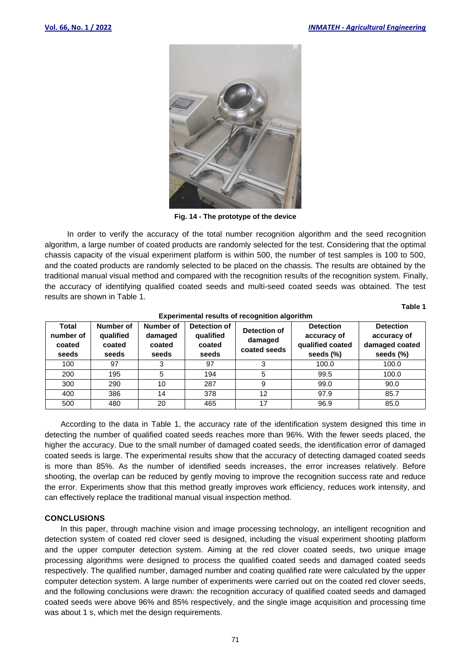

**Fig. 14 - The prototype of the device**

In order to verify the accuracy of the total number recognition algorithm and the seed recognition algorithm, a large number of coated products are randomly selected for the test. Considering that the optimal chassis capacity of the visual experiment platform is within 500, the number of test samples is 100 to 500, and the coated products are randomly selected to be placed on the chassis. The results are obtained by the traditional manual visual method and compared with the recognition results of the recognition system. Finally, the accuracy of identifying qualified coated seeds and multi-seed coated seeds was obtained. The test results are shown in Table 1.

**Table 1**

| Experimental results or recognition algoritmin |                                           |                                         |                                              |                                         |                                                                  |                                                                |
|------------------------------------------------|-------------------------------------------|-----------------------------------------|----------------------------------------------|-----------------------------------------|------------------------------------------------------------------|----------------------------------------------------------------|
| Total<br>number of<br>coated<br>seeds          | Number of<br>qualified<br>coated<br>seeds | Number of<br>damaged<br>coated<br>seeds | Detection of<br>qualified<br>coated<br>seeds | Detection of<br>damaged<br>coated seeds | <b>Detection</b><br>accuracy of<br>qualified coated<br>seeds (%) | <b>Detection</b><br>accuracy of<br>damaged coated<br>seeds (%) |
| 100                                            | 97                                        | 3                                       | 97                                           |                                         | 100.0                                                            | 100.0                                                          |
| 200                                            | 195                                       | 5                                       | 194                                          | 5                                       | 99.5                                                             | 100.0                                                          |
| 300                                            | 290                                       | 10                                      | 287                                          |                                         | 99.0                                                             | 90.0                                                           |
| 400                                            | 386                                       | 14                                      | 378                                          | 12                                      | 97.9                                                             | 85.7                                                           |
| 500                                            | 480                                       | 20                                      | 465                                          |                                         | 96.9                                                             | 85.0                                                           |

#### **Experimental results of recognition algorithm**

According to the data in Table 1, the accuracy rate of the identification system designed this time in detecting the number of qualified coated seeds reaches more than 96%. With the fewer seeds placed, the higher the accuracy. Due to the small number of damaged coated seeds, the identification error of damaged coated seeds is large. The experimental results show that the accuracy of detecting damaged coated seeds is more than 85%. As the number of identified seeds increases, the error increases relatively. Before shooting, the overlap can be reduced by gently moving to improve the recognition success rate and reduce the error. Experiments show that this method greatly improves work efficiency, reduces work intensity, and can effectively replace the traditional manual visual inspection method.

## **CONCLUSIONS**

In this paper, through machine vision and image processing technology, an intelligent recognition and detection system of coated red clover seed is designed, including the visual experiment shooting platform and the upper computer detection system. Aiming at the red clover coated seeds, two unique image processing algorithms were designed to process the qualified coated seeds and damaged coated seeds respectively. The qualified number, damaged number and coating qualified rate were calculated by the upper computer detection system. A large number of experiments were carried out on the coated red clover seeds, and the following conclusions were drawn: the recognition accuracy of qualified coated seeds and damaged coated seeds were above 96% and 85% respectively, and the single image acquisition and processing time was about 1 s, which met the design requirements.